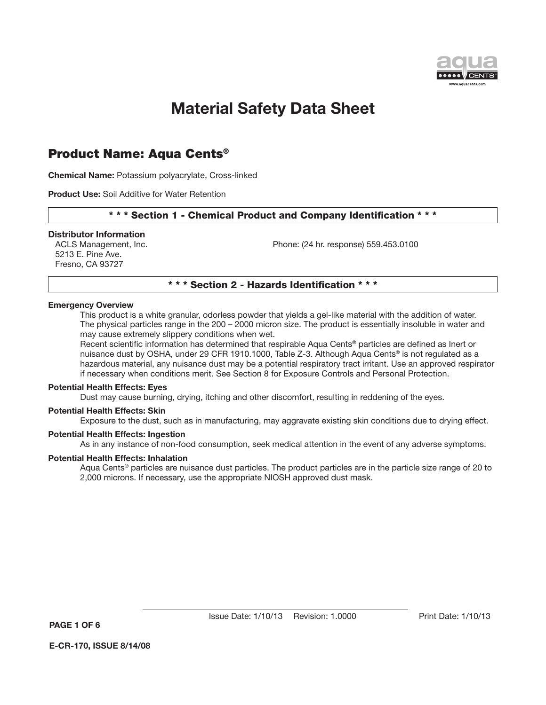

### Product Name: Aqua Cents®

**Chemical Name:** Potassium polyacrylate, Cross-linked

**Product Use:** Soil Additive for Water Retention

#### \* \* \* Section 1 - Chemical Product and Company Identification \* \* \*

#### **Distributor Information**

5213 E. Pine Ave. Fresno, CA 93727

ACLS Management, Inc. example 24 hr. response) 559.453.0100

#### \* \* \* Section 2 - Hazards Identification \* \* \*

#### **Emergency Overview**

This product is a white granular, odorless powder that yields a gel-like material with the addition of water. The physical particles range in the 200 – 2000 micron size. The product is essentially insoluble in water and may cause extremely slippery conditions when wet.

Recent scientific information has determined that respirable Aqua Cents® particles are defined as Inert or nuisance dust by OSHA, under 29 CFR 1910.1000, Table Z-3. Although Aqua Cents® is not regulated as a hazardous material, any nuisance dust may be a potential respiratory tract irritant. Use an approved respirator if necessary when conditions merit. See Section 8 for Exposure Controls and Personal Protection.

#### **Potential Health Effects: Eyes**

Dust may cause burning, drying, itching and other discomfort, resulting in reddening of the eyes.

#### **Potential Health Effects: Skin**

Exposure to the dust, such as in manufacturing, may aggravate existing skin conditions due to drying effect.

#### **Potential Health Effects: Ingestion**

As in any instance of non-food consumption, seek medical attention in the event of any adverse symptoms.

#### **Potential Health Effects: Inhalation**

Aqua Cents<sup>®</sup> particles are nuisance dust particles. The product particles are in the particle size range of 20 to 2,000 microns. If necessary, use the appropriate NIOSH approved dust mask.

**PAGE 1 OF 6**

**E-CR-170, ISSUE 8/14/08**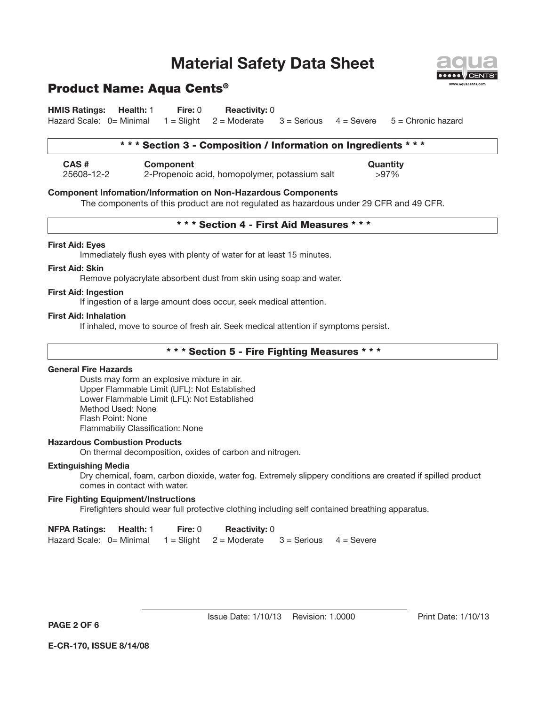

**HMIS Ratings: Health:** 1 **Fire:** 0 **Reactivity:** 0 Hazard Scale:  $0=$  Minimal  $1=$  Slight  $2=$  Moderate  $3=$  Serious  $4=$  Severe  $5=$  Chronic hazard

#### \* \* \* Section 3 - Composition / Information on Ingredients \* \* \*

**CAS # Component Quantity** 25608-12-2 2-Propenoic acid, homopolymer, potassium salt >97%

#### **Component Infomation/Information on Non-Hazardous Components**

The components of this product are not regulated as hazardous under 29 CFR and 49 CFR.

#### \* \* \* Section 4 - First Aid Measures \* \* \*

#### **First Aid: Eyes**

Immediately flush eyes with plenty of water for at least 15 minutes.

#### **First Aid: Skin**

Remove polyacrylate absorbent dust from skin using soap and water.

#### **First Aid: Ingestion**

If ingestion of a large amount does occur, seek medical attention.

#### **First Aid: Inhalation**

If inhaled, move to source of fresh air. Seek medical attention if symptoms persist.

#### \* \* \* Section 5 - Fire Fighting Measures \* \* \*

#### **General Fire Hazards**

Dusts may form an explosive mixture in air. Upper Flammable Limit (UFL): Not Established Lower Flammable Limit (LFL): Not Established Method Used: None Flash Point: None Flammabiliy Classification: None

#### **Hazardous Combustion Products**

On thermal decomposition, oxides of carbon and nitrogen.

#### **Extinguishing Media**

Dry chemical, foam, carbon dioxide, water fog. Extremely slippery conditions are created if spilled product comes in contact with water.

#### **Fire Fighting Equipment/Instructions**

Firefighters should wear full protective clothing including self contained breathing apparatus.

| <b>NFPA Ratings: Health: 1</b> | Fire: 0 | <b>Reactivity:</b> 0                             |  |
|--------------------------------|---------|--------------------------------------------------|--|
| Hazard Scale: 0= Minimal       |         | $1 =$ Slight 2 = Moderate 3 = Serious 4 = Severe |  |

**PAGE 2 OF 6**



Issue Date: 1/10/13 Revision: 1.0000 Print Date: 1/10/13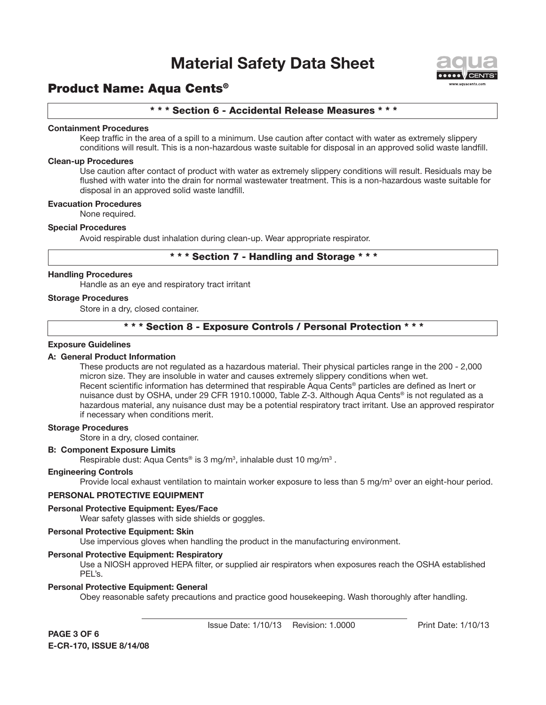

### Product Name: Aqua Cents®

#### \* \* \* Section 6 - Accidental Release Measures \* \* \*

#### **Containment Procedures**

Keep traffic in the area of a spill to a minimum. Use caution after contact with water as extremely slippery conditions will result. This is a non-hazardous waste suitable for disposal in an approved solid waste landfill.

#### **Clean-up Procedures**

Use caution after contact of product with water as extremely slippery conditions will result. Residuals may be flushed with water into the drain for normal wastewater treatment. This is a non-hazardous waste suitable for disposal in an approved solid waste landfill.

#### **Evacuation Procedures**

None required.

#### **Special Procedures**

Avoid respirable dust inhalation during clean-up. Wear appropriate respirator.

### \* \* \* Section 7 - Handling and Storage \* \* \*

#### **Handling Procedures**

Handle as an eye and respiratory tract irritant

#### **Storage Procedures**

Store in a dry, closed container.

#### \* \* \* Section 8 - Exposure Controls / Personal Protection \* \* \*

#### **Exposure Guidelines**

#### **A: General Product Information**

These products are not regulated as a hazardous material. Their physical particles range in the 200 - 2,000 micron size. They are insoluble in water and causes extremely slippery conditions when wet. Recent scientific information has determined that respirable Aqua Cents® particles are defined as Inert or nuisance dust by OSHA, under 29 CFR 1910.10000, Table Z-3. Although Aqua Cents® is not regulated as a hazardous material, any nuisance dust may be a potential respiratory tract irritant. Use an approved respirator if necessary when conditions merit.

#### **Storage Procedures**

Store in a dry, closed container.

#### **B: Component Exposure Limits**

Respirable dust: Aqua Cents® is 3 mg/m<sup>3</sup>, inhalable dust 10 mg/m<sup>3</sup>.

#### **Engineering Controls**

Provide local exhaust ventilation to maintain worker exposure to less than 5 mg/m<sup>3</sup> over an eight-hour period.

#### **PERSONAL PROTECTIVE EQUIPMENT**

#### **Personal Protective Equipment: Eyes/Face**

Wear safety glasses with side shields or goggles.

#### **Personal Protective Equipment: Skin**

Use impervious gloves when handling the product in the manufacturing environment.

#### **Personal Protective Equipment: Respiratory**

Use a NIOSH approved HEPA filter, or supplied air respirators when exposures reach the OSHA established PEL's.

#### **Personal Protective Equipment: General**

Obey reasonable safety precautions and practice good housekeeping. Wash thoroughly after handling.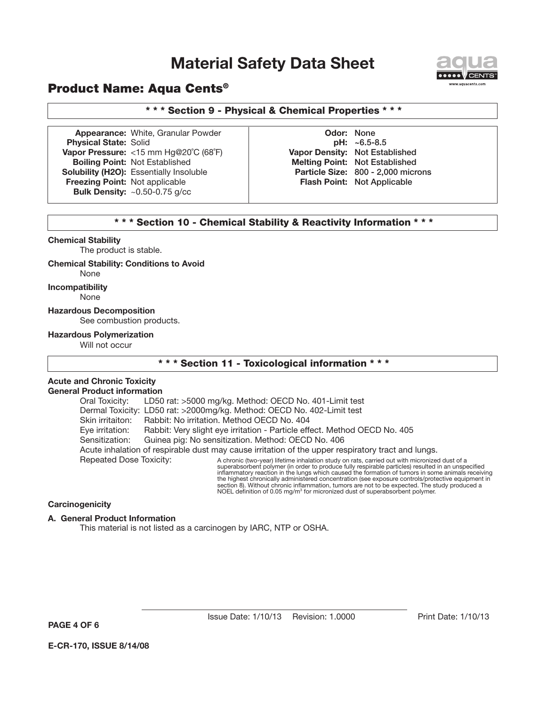

### Product Name: Aqua Cents®

#### \* \* \* Section 9 - Physical & Chemical Properties \* \* \*

**Appearance:** White, Granular Powder **CODOR: Odor:** None **Physical State:** Solid **pH:** ~6.5-8.5 **Vapor Pressure:** <15 mm Hg@20˚C (68˚F) **Vapor Density:** Not Established **Boiling Point:** Not Established **Melting Point:** Not Established **Solubility (H2O):** Essentially Insoluble **Particle Size:** 800 - 2,000 microns **Freezing Point:** Not applicable **Flash Point:** Not Applicable **Bulk Density:** ~0.50-0.75 g/cc

#### \* \* \* Section 10 - Chemical Stability & Reactivity Information \* \* \*

#### **Chemical Stability**

The product is stable.

#### **Chemical Stability: Conditions to Avoid**

None

#### **Incompatibility**

None

**Hazardous Decomposition** See combustion products.

#### **Hazardous Polymerization**

Will not occur

### \* \* \* Section 11 - Toxicological information \* \* \*

#### **Acute and Chronic Toxicity General Product information**

Oral Toxicity: LD50 rat: >5000 mg/kg. Method: OECD No. 401-Limit test Dermal Toxicity: LD50 rat: >2000mg/kg. Method: OECD No. 402-Limit test Skin irritaiton: Rabbit: No irritation. Method OECD No. 404 Eye irritation: Rabbit: Very slight eye irritation - Particle effect. Method OECD No. 405 Sensitization: Guinea pig: No sensitization. Method: OECD No. 406 Acute inhalation of respirable dust may cause irritation of the upper respiratory tract and lungs. Repeated Dose Toxicity: A chronic (two-year) lifetime inhalation study on rats, carried out with micronized dust of a

### superabsorbent polymer (in order to produce fully respirable particles) resulted in an unspecified inflammatory reaction in the lungs which caused the formation of tumors in some animals receiving the highest chronically administered concentration (see exposure controls/protective equipment in section 8). Without chronic inflammation, tumors are not to be expected. The study produced a<br>NOEL definition of 0.05 mg/m<sup>3</sup> for micronized dust of superabsorbent polymer.

#### **Carcinogenicity**

#### **A. General Product Information**

This material is not listed as a carcinogen by IARC, NTP or OSHA.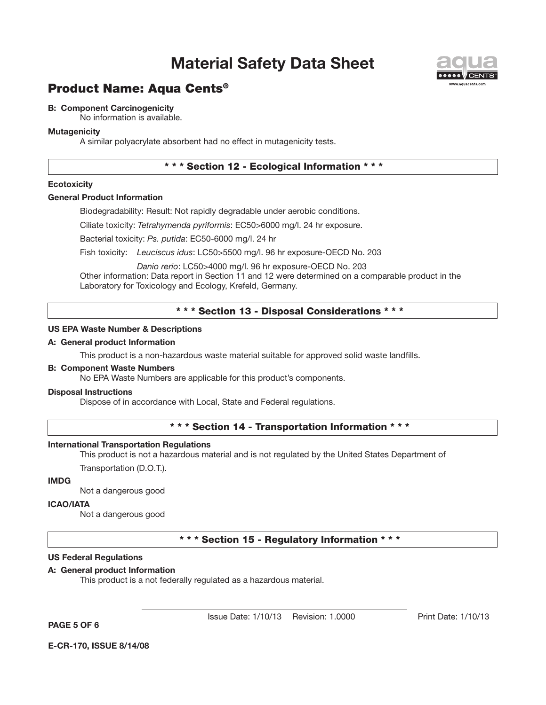

# Product Name: Aqua Cents®

#### **B: Component Carcinogenicity**

No information is available.

#### **Mutagenicity**

A similar polyacrylate absorbent had no effect in mutagenicity tests.

### \* \* \* Section 12 - Ecological Information \* \* \*

#### **Ecotoxicity**

#### **General Product Information**

Biodegradability: Result: Not rapidly degradable under aerobic conditions.

Ciliate toxicity: *Tetrahymenda pyriformis*: EC50>6000 mg/l. 24 hr exposure.

Bacterial toxicity: *Ps. putida*: EC50-6000 mg/l. 24 hr

Fish toxicity: *Leuciscus idus*: LC50>5500 mg/l. 96 hr exposure-OECD No. 203

*Danio rerio*: LC50>4000 mg/l. 96 hr exposure-OECD No. 203

Other information: Data report in Section 11 and 12 were determined on a comparable product in the Laboratory for Toxicology and Ecology, Krefeld, Germany.

#### \* \* \* Section 13 - Disposal Considerations \* \* \*

#### **US EPA Waste Number & Descriptions**

#### **A: General product Information**

This product is a non-hazardous waste material suitable for approved solid waste landfills.

#### **B: Component Waste Numbers**

No EPA Waste Numbers are applicable for this product's components.

#### **Disposal Instructions**

Dispose of in accordance with Local, State and Federal regulations.

#### \* \* \* Section 14 - Transportation Information \* \* \*

#### **International Transportation Regulations**

This product is not a hazardous material and is not regulated by the United States Department of

Transportation (D.O.T.).

#### **IMDG**

Not a dangerous good

#### **ICAO/IATA**

Not a dangerous good

#### \* \* \* Section 15 - Regulatory Information \* \* \*

#### **US Federal Regulations**

#### **A: General product Information**

This product is a not federally regulated as a hazardous material.

**PAGE 5 OF 6**

Issue Date: 1/10/13 Revision: 1.0000 Print Date: 1/10/13

**E-CR-170, ISSUE 8/14/08**